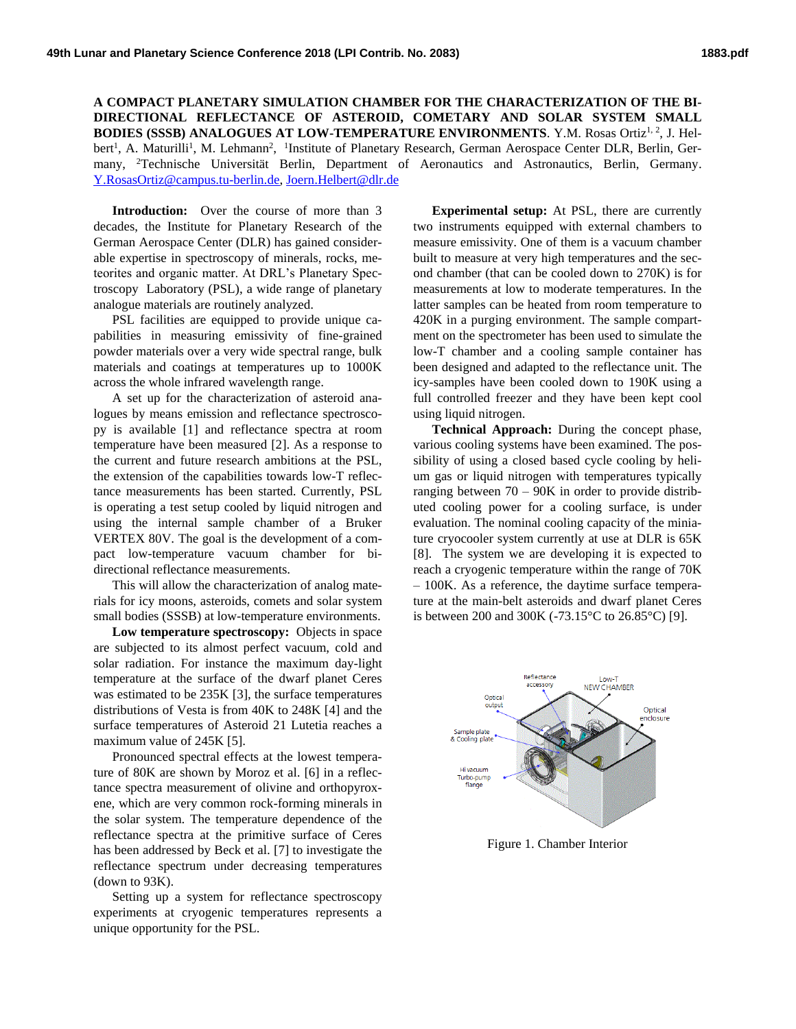**A COMPACT PLANETARY SIMULATION CHAMBER FOR THE CHARACTERIZATION OF THE BI-DIRECTIONAL REFLECTANCE OF ASTEROID, COMETARY AND SOLAR SYSTEM SMALL BODIES (SSSB) ANALOGUES AT LOW-TEMPERATURE ENVIRONMENTS.** Y.M. Rosas Ortiz<sup>1, 2</sup>, J. Helbert<sup>1</sup>, A. Maturilli<sup>1</sup>, M. Lehmann<sup>2</sup>, <sup>1</sup>Institute of Planetary Research, German Aerospace Center DLR, Berlin, Germany, <sup>2</sup>Technische Universität Berlin, Department of Aeronautics and Astronautics, Berlin, Germany. [Y.RosasOrtiz@campus.tu-berlin.de,](mailto:y.rosasortiz@campus.tu-berlin.de) [Joern.Helbert@dlr.de](mailto:Joern.Helbert@dlr.de)

**Introduction:** Over the course of more than 3 decades, the Institute for Planetary Research of the German Aerospace Center (DLR) has gained considerable expertise in spectroscopy of minerals, rocks, meteorites and organic matter. At DRL's Planetary Spectroscopy Laboratory (PSL), a wide range of planetary analogue materials are routinely analyzed.

PSL facilities are equipped to provide unique capabilities in measuring emissivity of fine-grained powder materials over a very wide spectral range, bulk materials and coatings at temperatures up to 1000K across the whole infrared wavelength range.

A set up for the characterization of asteroid analogues by means emission and reflectance spectroscopy is available [1] and reflectance spectra at room temperature have been measured [2]. As a response to the current and future research ambitions at the PSL, the extension of the capabilities towards low-T reflectance measurements has been started. Currently, PSL is operating a test setup cooled by liquid nitrogen and using the internal sample chamber of a Bruker VERTEX 80V. The goal is the development of a compact low-temperature vacuum chamber for bidirectional reflectance measurements.

This will allow the characterization of analog materials for icy moons, asteroids, comets and solar system small bodies (SSSB) at low-temperature environments.

**Low temperature spectroscopy:** Objects in space are subjected to its almost perfect vacuum, cold and solar radiation. For instance the maximum day-light temperature at the surface of the dwarf planet Ceres was estimated to be 235K [3], the surface temperatures distributions of Vesta is from 40K to 248K [4] and the surface temperatures of Asteroid 21 Lutetia reaches a maximum value of 245K [5].

Pronounced spectral effects at the lowest temperature of 80K are shown by Moroz et al. [6] in a reflectance spectra measurement of olivine and orthopyroxene, which are very common rock-forming minerals in the solar system. The temperature dependence of the reflectance spectra at the primitive surface of Ceres has been addressed by Beck et al. [7] to investigate the reflectance spectrum under decreasing temperatures (down to 93K).

Setting up a system for reflectance spectroscopy experiments at cryogenic temperatures represents a unique opportunity for the PSL.

**Experimental setup:** At PSL, there are currently two instruments equipped with external chambers to measure emissivity. One of them is a vacuum chamber built to measure at very high temperatures and the second chamber (that can be cooled down to 270K) is for measurements at low to moderate temperatures. In the latter samples can be heated from room temperature to 420K in a purging environment. The sample compartment on the spectrometer has been used to simulate the low-T chamber and a cooling sample container has been designed and adapted to the reflectance unit. The icy-samples have been cooled down to 190K using a full controlled freezer and they have been kept cool using liquid nitrogen.

**Technical Approach:** During the concept phase, various cooling systems have been examined. The possibility of using a closed based cycle cooling by helium gas or liquid nitrogen with temperatures typically ranging between  $70 - 90K$  in order to provide distributed cooling power for a cooling surface, is under evaluation. The nominal cooling capacity of the miniature cryocooler system currently at use at DLR is 65K [8]. The system we are developing it is expected to reach a cryogenic temperature within the range of 70K – 100K. As a reference, the daytime surface temperature at the main-belt asteroids and dwarf planet Ceres is between 200 and 300K (-73.15°C to 26.85°C) [9].



Figure 1. Chamber Interior